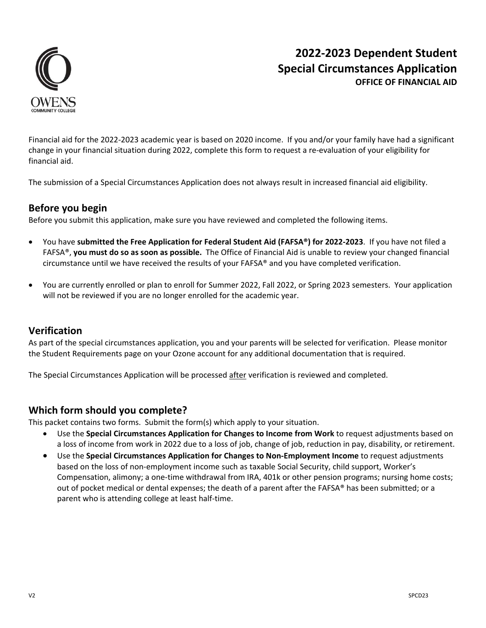

# **2022‐2023 Dependent Student Special Circumstances Application OFFICE OF FINANCIAL AID**

Financial aid for the 2022‐2023 academic year is based on 2020 income. If you and/or your family have had a significant change in your financial situation during 2022, complete this form to request a re‐evaluation of your eligibility for financial aid.

The submission of a Special Circumstances Application does not always result in increased financial aid eligibility.

## **Before you begin**

Before you submit this application, make sure you have reviewed and completed the following items.

- You have **submitted the Free Application for Federal Student Aid (FAFSA®) for 2022‐2023**. If you have not filed a FAFSA®, **you must do so as soon as possible.** The Office of Financial Aid is unable to review your changed financial circumstance until we have received the results of your FAFSA® and you have completed verification.
- You are currently enrolled or plan to enroll for Summer 2022, Fall 2022, or Spring 2023 semesters. Your application will not be reviewed if you are no longer enrolled for the academic year.

## **Verification**

As part of the special circumstances application, you and your parents will be selected for verification. Please monitor the Student Requirements page on your Ozone account for any additional documentation that is required.

The Special Circumstances Application will be processed after verification is reviewed and completed.

## **Which form should you complete?**

This packet contains two forms. Submit the form(s) which apply to your situation.

- Use the **Special Circumstances Application for Changes to Income from Work** to request adjustments based on a loss of income from work in 2022 due to a loss of job, change of job, reduction in pay, disability, or retirement.
- Use the **Special Circumstances Application for Changes to Non‐Employment Income** to request adjustments based on the loss of non‐employment income such as taxable Social Security, child support, Worker's Compensation, alimony; a one‐time withdrawal from IRA, 401k or other pension programs; nursing home costs; out of pocket medical or dental expenses; the death of a parent after the FAFSA® has been submitted; or a parent who is attending college at least half‐time.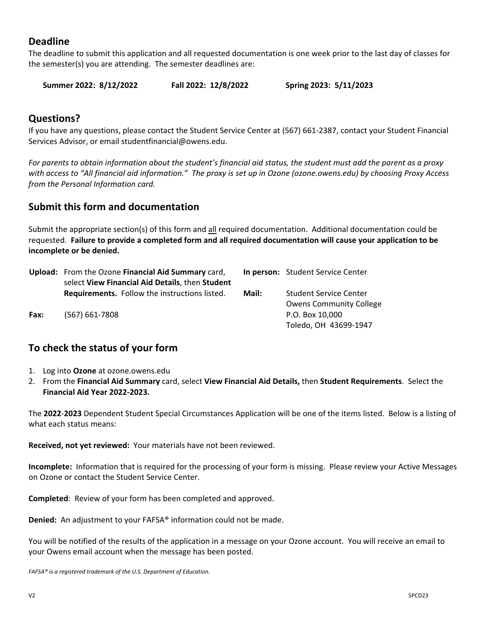## **Deadline**

The deadline to submit this application and all requested documentation is one week prior to the last day of classes for the semester(s) you are attending. The semester deadlines are:

**Summer 2022: 8/12/2022 Fall 2022: 12/8/2022 Spring 2023: 5/11/2023** 

### **Questions?**

If you have any questions, please contact the Student Service Center at (567) 661‐2387, contact your Student Financial Services Advisor, or email studentfinancial@owens.edu.

*For parents to obtain information about the student's financial aid status, the student must add the parent as a proxy with access to "All financial aid information." The proxy is set up in Ozone (ozone.owens.edu) by choosing Proxy Access from the Personal Information card.* 

### **Submit this form and documentation**

Submit the appropriate section(s) of this form and all required documentation. Additional documentation could be requested. **Failure to provide a completed form and all required documentation will cause your application to be incomplete or be denied.**

|      | Upload: From the Ozone Financial Aid Summary card,   |       | In person: Student Service Center |
|------|------------------------------------------------------|-------|-----------------------------------|
|      | select View Financial Aid Details, then Student      |       |                                   |
|      | <b>Requirements.</b> Follow the instructions listed. | Mail: | <b>Student Service Center</b>     |
|      |                                                      |       | <b>Owens Community College</b>    |
| Fax: | $(567) 661 - 7808$                                   |       | P.O. Box 10.000                   |
|      |                                                      |       | Toledo, OH 43699-1947             |

## **To check the status of your form**

- 1. Log into **Ozone** at ozone.owens.edu
- 2. From the **Financial Aid Summary** card, select **View Financial Aid Details,** then **Student Requirements**. Select the **Financial Aid Year 2022‐2023.**

The **2022**‐**2023** Dependent Student Special Circumstances Application will be one of the items listed. Below is a listing of what each status means:

**Received, not yet reviewed:** Your materials have not been reviewed.

**Incomplete:** Information that is required for the processing of your form is missing. Please review your Active Messages on Ozone or contact the Student Service Center.

**Completed**: Review of your form has been completed and approved.

**Denied:** An adjustment to your FAFSA<sup>®</sup> information could not be made.

You will be notified of the results of the application in a message on your Ozone account. You will receive an email to your Owens email account when the message has been posted.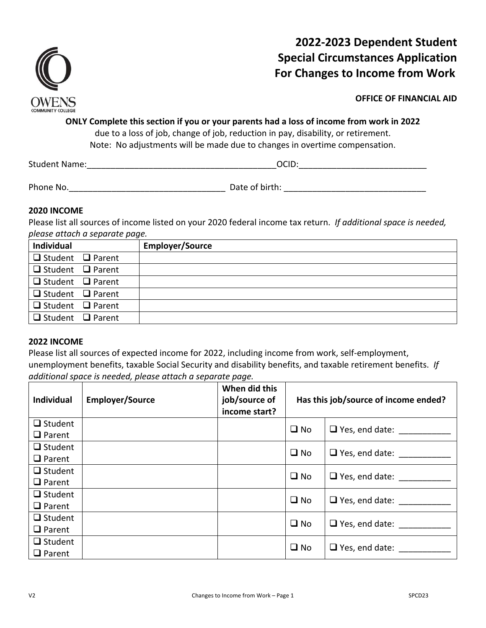

# **2022‐2023 Dependent Student Special Circumstances Application For Changes to Income from Work**

**OFFICE OF FINANCIAL AID** 

# **ONLY Complete this section if you or your parents had a loss of income from work in 2022**

due to a loss of job, change of job, reduction in pay, disability, or retirement. Note: No adjustments will be made due to changes in overtime compensation.

Student Name: The Communication of the Communication of the Communication of the Communication of the Communication of the Communication of the Communication of the Communication of the Communication of the Communication o

Phone No.\_\_\_\_\_\_\_\_\_\_\_\_\_\_\_\_\_\_\_\_\_\_\_\_\_\_\_\_\_\_\_\_\_ Date of birth: \_\_\_\_\_\_\_\_\_\_\_\_\_\_\_\_\_\_\_\_\_\_\_\_\_\_\_\_\_\_

### **2020 INCOME**

Please list all sources of income listed on your 2020 federal income tax return. *If additional space is needed, please attach a separate page.*

| Individual                   | <b>Employer/Source</b> |
|------------------------------|------------------------|
| $\Box$ Student $\Box$ Parent |                        |
| $\Box$ Student $\Box$ Parent |                        |
| $\Box$ Student $\Box$ Parent |                        |
| $\Box$ Student $\Box$ Parent |                        |
| $\Box$ Student $\Box$ Parent |                        |
| $\Box$ Student $\Box$ Parent |                        |

### **2022 INCOME**

Please list all sources of expected income for 2022, including income from work, self‐employment, unemployment benefits, taxable Social Security and disability benefits, and taxable retirement benefits. *If additional space is needed, please attach a separate page.* 

| <b>Individual</b> | <b>Employer/Source</b> | When did this<br>job/source of<br>income start? | Has this job/source of income ended? |                       |
|-------------------|------------------------|-------------------------------------------------|--------------------------------------|-----------------------|
| $\Box$ Student    |                        |                                                 | $\square$ No                         | $\Box$ Yes, end date: |
| $\Box$ Parent     |                        |                                                 |                                      |                       |
| $\Box$ Student    |                        |                                                 | $\square$ No                         | $\Box$ Yes, end date: |
| $\Box$ Parent     |                        |                                                 |                                      |                       |
| $\Box$ Student    |                        |                                                 | $\square$ No                         | $\Box$ Yes, end date: |
| $\Box$ Parent     |                        |                                                 |                                      |                       |
| $\Box$ Student    |                        |                                                 | $\square$ No                         | $\Box$ Yes, end date: |
| $\Box$ Parent     |                        |                                                 |                                      |                       |
| $\Box$ Student    |                        |                                                 | $\square$ No                         | $\Box$ Yes, end date: |
| $\Box$ Parent     |                        |                                                 |                                      |                       |
| $\Box$ Student    |                        |                                                 | $\square$ No                         |                       |
| $\Box$ Parent     |                        |                                                 |                                      | $\Box$ Yes, end date: |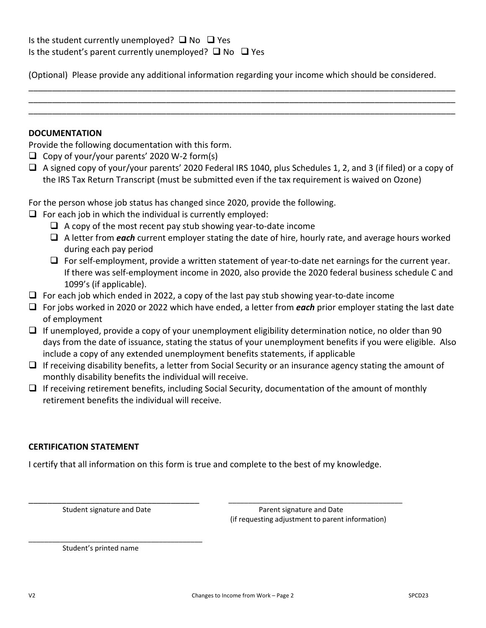(Optional) Please provide any additional information regarding your income which should be considered.

\_\_\_\_\_\_\_\_\_\_\_\_\_\_\_\_\_\_\_\_\_\_\_\_\_\_\_\_\_\_\_\_\_\_\_\_\_\_\_\_\_\_\_\_\_\_\_\_\_\_\_\_\_\_\_\_\_\_\_\_\_\_\_\_\_\_\_\_\_\_\_\_\_\_\_\_\_\_\_\_\_\_\_\_\_\_\_\_\_\_ \_\_\_\_\_\_\_\_\_\_\_\_\_\_\_\_\_\_\_\_\_\_\_\_\_\_\_\_\_\_\_\_\_\_\_\_\_\_\_\_\_\_\_\_\_\_\_\_\_\_\_\_\_\_\_\_\_\_\_\_\_\_\_\_\_\_\_\_\_\_\_\_\_\_\_\_\_\_\_\_\_\_\_\_\_\_\_\_\_\_ \_\_\_\_\_\_\_\_\_\_\_\_\_\_\_\_\_\_\_\_\_\_\_\_\_\_\_\_\_\_\_\_\_\_\_\_\_\_\_\_\_\_\_\_\_\_\_\_\_\_\_\_\_\_\_\_\_\_\_\_\_\_\_\_\_\_\_\_\_\_\_\_\_\_\_\_\_\_\_\_\_\_\_\_\_\_\_\_\_\_

#### **DOCUMENTATION**

Provide the following documentation with this form.

- $\Box$  Copy of your/your parents' 2020 W-2 form(s)
- $\Box$  A signed copy of your/your parents' 2020 Federal IRS 1040, plus Schedules 1, 2, and 3 (if filed) or a copy of the IRS Tax Return Transcript (must be submitted even if the tax requirement is waived on Ozone)

For the person whose job status has changed since 2020, provide the following.

- $\Box$  For each job in which the individual is currently employed:
	- $\Box$  A copy of the most recent pay stub showing year-to-date income
	- A letter from *each* current employer stating the date of hire, hourly rate, and average hours worked during each pay period
	- $\Box$  For self-employment, provide a written statement of year-to-date net earnings for the current year. If there was self‐employment income in 2020, also provide the 2020 federal business schedule C and 1099's (if applicable).
- $\Box$  For each job which ended in 2022, a copy of the last pay stub showing year-to-date income
- For jobs worked in 2020 or 2022 which have ended, a letter from *each* prior employer stating the last date of employment
- $\Box$  If unemployed, provide a copy of your unemployment eligibility determination notice, no older than 90 days from the date of issuance, stating the status of your unemployment benefits if you were eligible. Also include a copy of any extended unemployment benefits statements, if applicable
- $\Box$  If receiving disability benefits, a letter from Social Security or an insurance agency stating the amount of monthly disability benefits the individual will receive.
- $\Box$  If receiving retirement benefits, including Social Security, documentation of the amount of monthly retirement benefits the individual will receive.

### **CERTIFICATION STATEMENT**

I certify that all information on this form is true and complete to the best of my knowledge. 

\_\_\_\_\_\_\_\_\_\_\_\_\_\_\_\_\_\_\_\_\_\_\_\_\_\_\_\_\_\_\_\_\_\_\_\_ \_\_\_\_\_\_\_\_\_\_\_\_\_\_\_\_\_\_\_\_\_\_\_\_\_\_\_\_\_\_\_\_\_\_\_\_\_\_\_\_\_\_\_\_

\_\_\_\_\_\_\_\_\_\_\_\_\_\_\_\_\_\_\_\_\_\_\_\_\_\_\_\_\_\_\_\_\_\_\_\_\_\_\_\_\_\_\_\_

Student signature and Date **Student signature and Date Parent signature and Date** (if requesting adjustment to parent information)

Student's printed name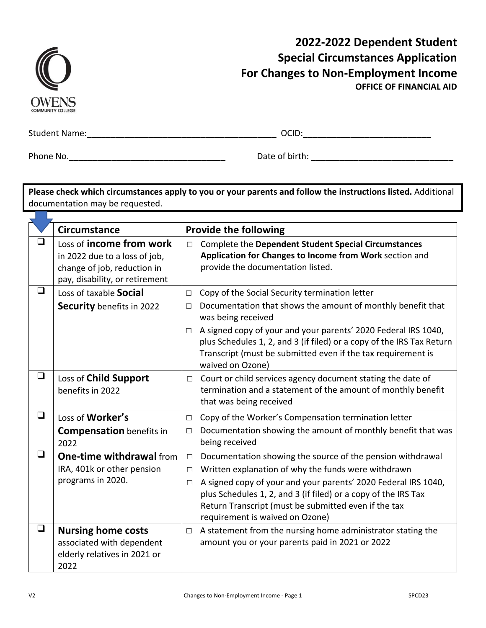| <b>COMMUNITY COLLEGE</b> |
|--------------------------|

## **2022‐2022 Dependent Student Special Circumstances Application For Changes to Non‐Employment Income OFFICE OF FINANCIAL AID**

a da kasa

Student Name:\_\_\_\_\_\_\_\_\_\_\_\_\_\_\_\_\_\_\_\_\_\_\_\_\_\_\_\_\_\_\_\_\_\_\_\_\_\_\_\_ OCID:\_\_\_\_\_\_\_\_\_\_\_\_\_\_\_\_\_\_\_\_\_\_\_\_\_\_\_

Phone No.\_\_\_\_\_\_\_\_\_\_\_\_\_\_\_\_\_\_\_\_\_\_\_\_\_\_\_\_\_\_\_\_\_ Date of birth: \_\_\_\_\_\_\_\_\_\_\_\_\_\_\_\_\_\_\_\_\_\_\_\_\_\_\_\_\_\_

**Please check which circumstances apply to you or your parents and follow the instructions listed.** Additional documentation may be requested.

|        | <b>Circumstance</b>                                                                                                        | <b>Provide the following</b>                                                                                                                                                                                                                                                                                                                                                                     |  |
|--------|----------------------------------------------------------------------------------------------------------------------------|--------------------------------------------------------------------------------------------------------------------------------------------------------------------------------------------------------------------------------------------------------------------------------------------------------------------------------------------------------------------------------------------------|--|
| ❏      | Loss of income from work<br>in 2022 due to a loss of job,<br>change of job, reduction in<br>pay, disability, or retirement | <b>Complete the Dependent Student Special Circumstances</b><br>$\Box$<br>Application for Changes to Income from Work section and<br>provide the documentation listed.                                                                                                                                                                                                                            |  |
| ❏      | Loss of taxable Social<br>Security benefits in 2022                                                                        | Copy of the Social Security termination letter<br>$\Box$<br>Documentation that shows the amount of monthly benefit that<br>$\Box$<br>was being received<br>A signed copy of your and your parents' 2020 Federal IRS 1040,<br>$\Box$<br>plus Schedules 1, 2, and 3 (if filed) or a copy of the IRS Tax Return<br>Transcript (must be submitted even if the tax requirement is<br>waived on Ozone) |  |
| ❏      | Loss of Child Support<br>benefits in 2022                                                                                  | Court or child services agency document stating the date of<br>$\Box$<br>termination and a statement of the amount of monthly benefit<br>that was being received                                                                                                                                                                                                                                 |  |
| $\Box$ | Loss of Worker's<br><b>Compensation</b> benefits in<br>2022                                                                | Copy of the Worker's Compensation termination letter<br>$\Box$<br>Documentation showing the amount of monthly benefit that was<br>$\Box$<br>being received                                                                                                                                                                                                                                       |  |
| $\Box$ | <b>One-time withdrawal from</b><br>IRA, 401k or other pension<br>programs in 2020.                                         | Documentation showing the source of the pension withdrawal<br>$\Box$<br>Written explanation of why the funds were withdrawn<br>$\Box$<br>A signed copy of your and your parents' 2020 Federal IRS 1040,<br>$\Box$<br>plus Schedules 1, 2, and 3 (if filed) or a copy of the IRS Tax<br>Return Transcript (must be submitted even if the tax<br>requirement is waived on Ozone)                   |  |
| $\Box$ | <b>Nursing home costs</b><br>associated with dependent<br>elderly relatives in 2021 or<br>2022                             | A statement from the nursing home administrator stating the<br>$\Box$<br>amount you or your parents paid in 2021 or 2022                                                                                                                                                                                                                                                                         |  |